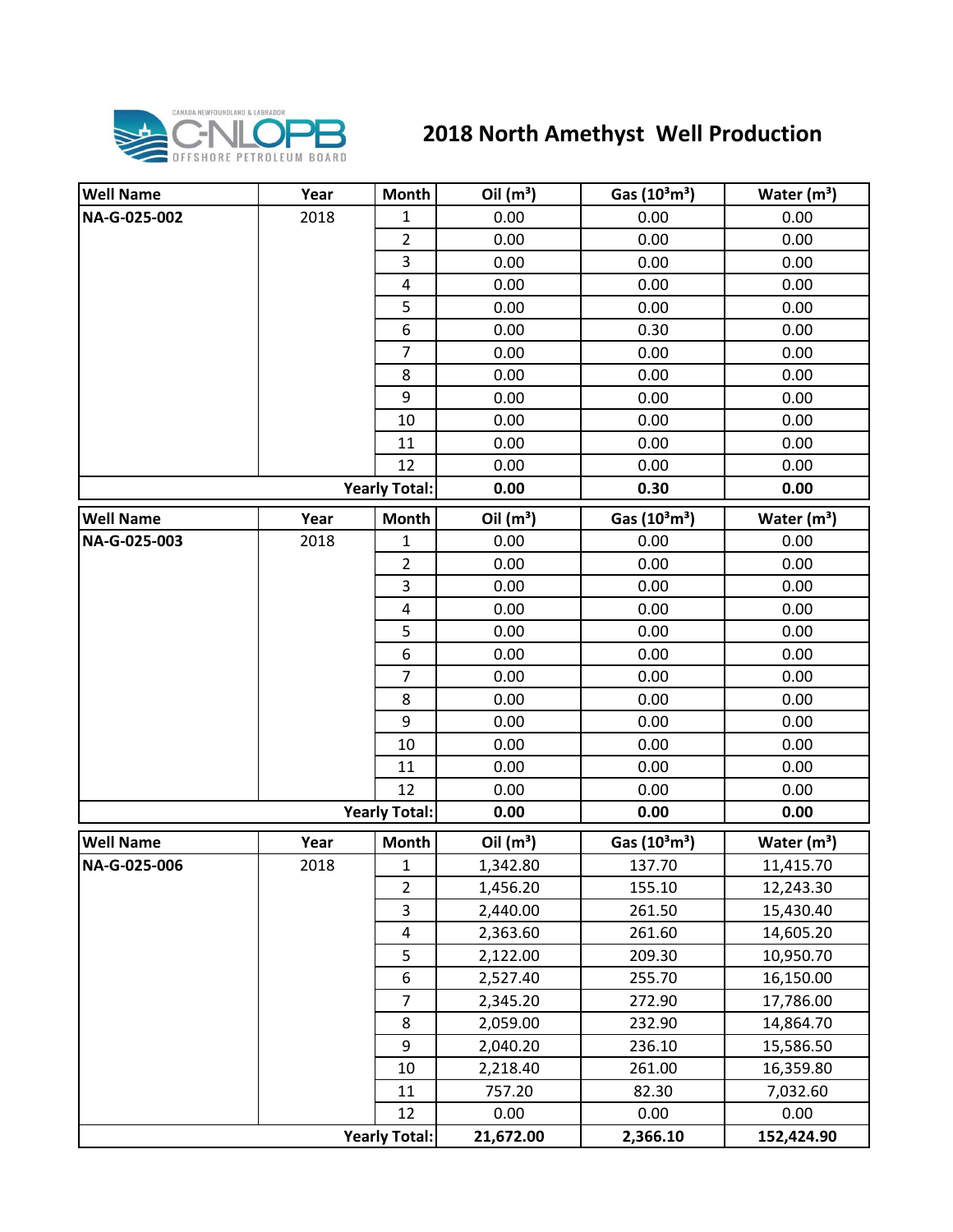

## **2018 North Amethyst Well Production**

| <b>Well Name</b> | Year | <b>Month</b>            | Oil $(m^3)$ | Gas (10 <sup>3</sup> m <sup>3</sup> ) | Water $(m^3)$ |
|------------------|------|-------------------------|-------------|---------------------------------------|---------------|
| NA-G-025-002     | 2018 | $\mathbf{1}$            | 0.00        | 0.00                                  | 0.00          |
|                  |      | $\overline{2}$          | 0.00        | 0.00                                  | 0.00          |
|                  |      | $\overline{3}$          | 0.00        | 0.00                                  | 0.00          |
|                  |      | $\pmb{4}$               | 0.00        | 0.00                                  | 0.00          |
|                  |      | 5                       | 0.00        | 0.00                                  | 0.00          |
|                  |      | 6                       | 0.00        | 0.30                                  | 0.00          |
|                  |      | $\overline{7}$          | 0.00        | 0.00                                  | 0.00          |
|                  |      | 8                       | 0.00        | 0.00                                  | 0.00          |
|                  |      | 9                       | 0.00        | 0.00                                  | 0.00          |
|                  |      | 10                      | 0.00        | 0.00                                  | 0.00          |
|                  |      | 11                      | 0.00        | 0.00                                  | 0.00          |
|                  |      | 12                      | 0.00        | 0.00                                  | 0.00          |
|                  |      | <b>Yearly Total:</b>    | 0.00        | 0.30                                  | 0.00          |
| <b>Well Name</b> | Year | <b>Month</b>            | Oil $(m^3)$ | Gas (10 <sup>3</sup> m <sup>3</sup> ) | Water $(m3)$  |
| NA-G-025-003     | 2018 | 1                       | 0.00        | 0.00                                  | 0.00          |
|                  |      | $\overline{2}$          | 0.00        | 0.00                                  | 0.00          |
|                  |      | 3                       | 0.00        | 0.00                                  | 0.00          |
|                  |      | 4                       | 0.00        | 0.00                                  | 0.00          |
|                  |      | 5                       | 0.00        | 0.00                                  | 0.00          |
|                  |      | 6                       | 0.00        | 0.00                                  | 0.00          |
|                  |      | $\overline{7}$          | 0.00        | 0.00                                  | 0.00          |
|                  |      | 8                       | 0.00        | 0.00                                  | 0.00          |
|                  |      | 9                       | 0.00        | 0.00                                  | 0.00          |
|                  |      | 10                      | 0.00        | 0.00                                  | 0.00          |
|                  |      | 11                      | 0.00        | 0.00                                  | 0.00          |
|                  |      | 12                      | 0.00        | 0.00                                  | 0.00          |
|                  |      | <b>Yearly Total:</b>    | 0.00        | 0.00                                  | 0.00          |
| <b>Well Name</b> | Year | <b>Month</b>            | Oil $(m^3)$ | Gas $(10^3 \text{m}^3)$               | Water $(m^3)$ |
| NA-G-025-006     | 2018 | $\mathbf 1$             | 1,342.80    | 137.70                                | 11,415.70     |
|                  |      | $\overline{2}$          | 1,456.20    | 155.10                                | 12,243.30     |
|                  |      | 3                       | 2,440.00    | 261.50                                | 15,430.40     |
|                  |      | $\overline{\mathbf{4}}$ | 2,363.60    | 261.60                                | 14,605.20     |
|                  |      | 5                       | 2,122.00    | 209.30                                | 10,950.70     |
|                  |      | 6                       | 2,527.40    | 255.70                                | 16,150.00     |
|                  |      | $\overline{7}$          | 2,345.20    | 272.90                                | 17,786.00     |
|                  |      | 8                       | 2,059.00    | 232.90                                | 14,864.70     |
|                  |      | 9                       | 2,040.20    | 236.10                                | 15,586.50     |
|                  |      | 10                      | 2,218.40    | 261.00                                | 16,359.80     |
|                  |      | 11                      | 757.20      | 82.30                                 | 7,032.60      |
|                  |      | 12                      | 0.00        | 0.00                                  | 0.00          |
|                  |      | <b>Yearly Total:</b>    | 21,672.00   | 2,366.10                              | 152,424.90    |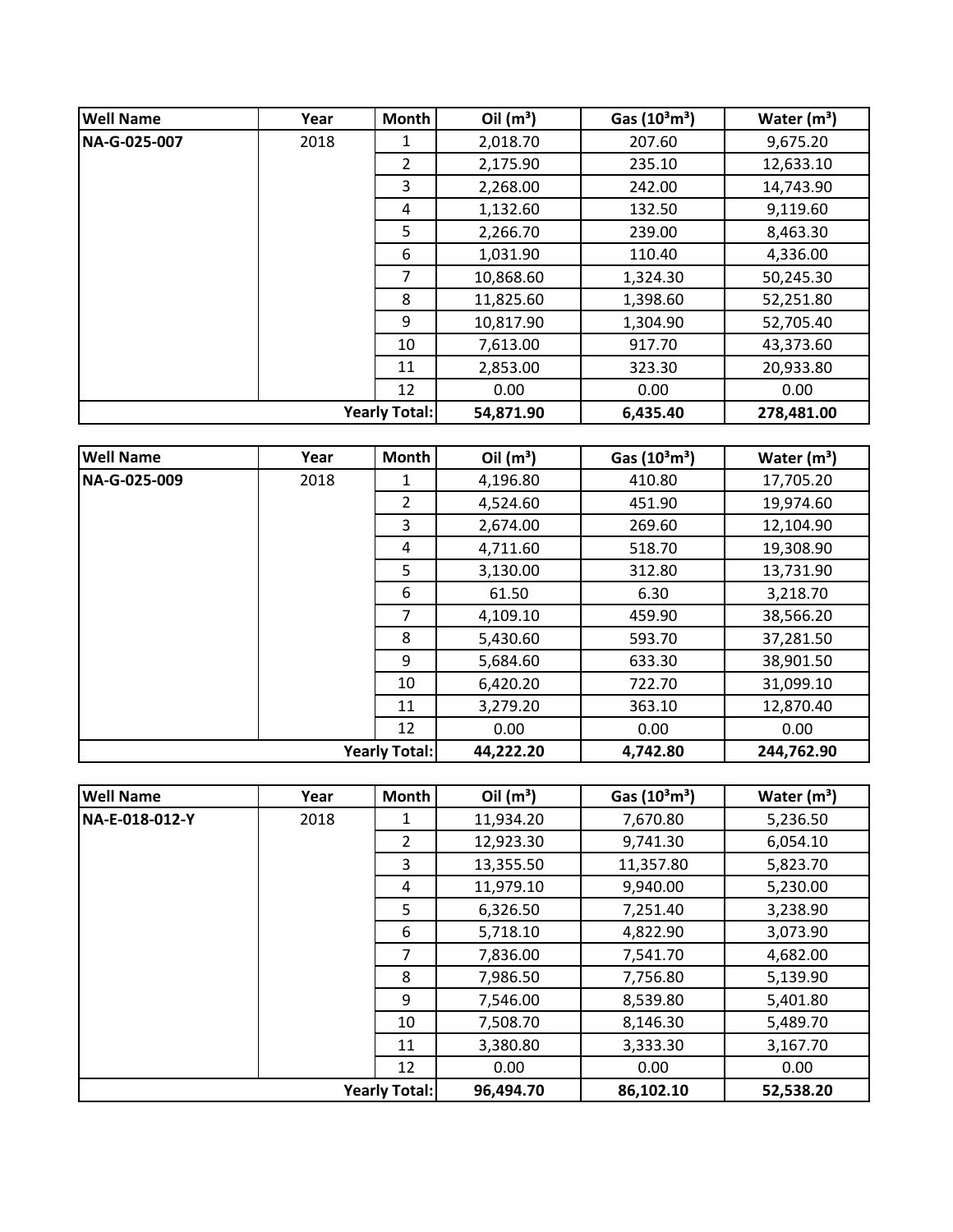| <b>Well Name</b>     | Year | Month          | Oil $(m^3)$ | Gas $(10^3 \text{m}^3)$ | Water $(m^3)$ |
|----------------------|------|----------------|-------------|-------------------------|---------------|
| NA-G-025-007         | 2018 | 1              | 2,018.70    | 207.60                  | 9,675.20      |
|                      |      | $\overline{2}$ | 2,175.90    | 235.10                  | 12,633.10     |
|                      |      | 3              | 2,268.00    | 242.00                  | 14,743.90     |
|                      |      | 4              | 1,132.60    | 132.50                  | 9,119.60      |
|                      |      | 5              | 2,266.70    | 239.00                  | 8,463.30      |
|                      |      | 6              | 1,031.90    | 110.40                  | 4,336.00      |
|                      |      | 7              | 10,868.60   | 1,324.30                | 50,245.30     |
|                      |      | 8              | 11,825.60   | 1,398.60                | 52,251.80     |
|                      |      | 9              | 10,817.90   | 1,304.90                | 52,705.40     |
|                      |      | 10             | 7,613.00    | 917.70                  | 43,373.60     |
|                      |      | 11             | 2,853.00    | 323.30                  | 20,933.80     |
|                      |      | 12             | 0.00        | 0.00                    | 0.00          |
| <b>Yearly Total:</b> |      | 54,871.90      | 6,435.40    | 278,481.00              |               |

| <b>Well Name</b>     | Year | <b>Month</b> | Oil $(m^3)$ | Gas $(10^3 \text{m}^3)$ | Water $(m^3)$ |
|----------------------|------|--------------|-------------|-------------------------|---------------|
| NA-G-025-009         | 2018 | 1            | 4,196.80    | 410.80                  | 17,705.20     |
|                      |      | 2            | 4,524.60    | 451.90                  | 19,974.60     |
|                      |      | 3            | 2,674.00    | 269.60                  | 12,104.90     |
|                      |      | 4            | 4,711.60    | 518.70                  | 19,308.90     |
|                      |      | 5            | 3,130.00    | 312.80                  | 13,731.90     |
|                      |      | 6            | 61.50       | 6.30                    | 3,218.70      |
|                      |      | 7            | 4,109.10    | 459.90                  | 38,566.20     |
|                      |      | 8            | 5,430.60    | 593.70                  | 37,281.50     |
|                      |      | 9            | 5,684.60    | 633.30                  | 38,901.50     |
|                      |      | 10           | 6,420.20    | 722.70                  | 31,099.10     |
|                      |      | 11           | 3,279.20    | 363.10                  | 12,870.40     |
|                      |      | 12           | 0.00        | 0.00                    | 0.00          |
| <b>Yearly Total:</b> |      |              | 44,222.20   | 4,742.80                | 244,762.90    |

| <b>Well Name</b>     | Year | Month          | Oil $(m^3)$ | Gas $(10^3 \text{m}^3)$ | Water $(m^3)$ |
|----------------------|------|----------------|-------------|-------------------------|---------------|
| NA-E-018-012-Y       | 2018 | 1              | 11,934.20   | 7,670.80                | 5,236.50      |
|                      |      | $\overline{2}$ | 12,923.30   | 9,741.30                | 6,054.10      |
|                      |      | 3              | 13,355.50   | 11,357.80               | 5,823.70      |
|                      |      | 4              | 11,979.10   | 9,940.00                | 5,230.00      |
|                      |      | 5              | 6,326.50    | 7,251.40                | 3,238.90      |
|                      |      | 6              | 5,718.10    | 4,822.90                | 3,073.90      |
|                      |      | 7              | 7,836.00    | 7,541.70                | 4,682.00      |
|                      |      | 8              | 7,986.50    | 7,756.80                | 5,139.90      |
|                      |      | 9              | 7,546.00    | 8,539.80                | 5,401.80      |
|                      |      | 10             | 7,508.70    | 8,146.30                | 5,489.70      |
|                      |      | 11             | 3,380.80    | 3,333.30                | 3,167.70      |
|                      |      | 12             | 0.00        | 0.00                    | 0.00          |
| <b>Yearly Total:</b> |      |                | 96,494.70   | 86,102.10               | 52,538.20     |